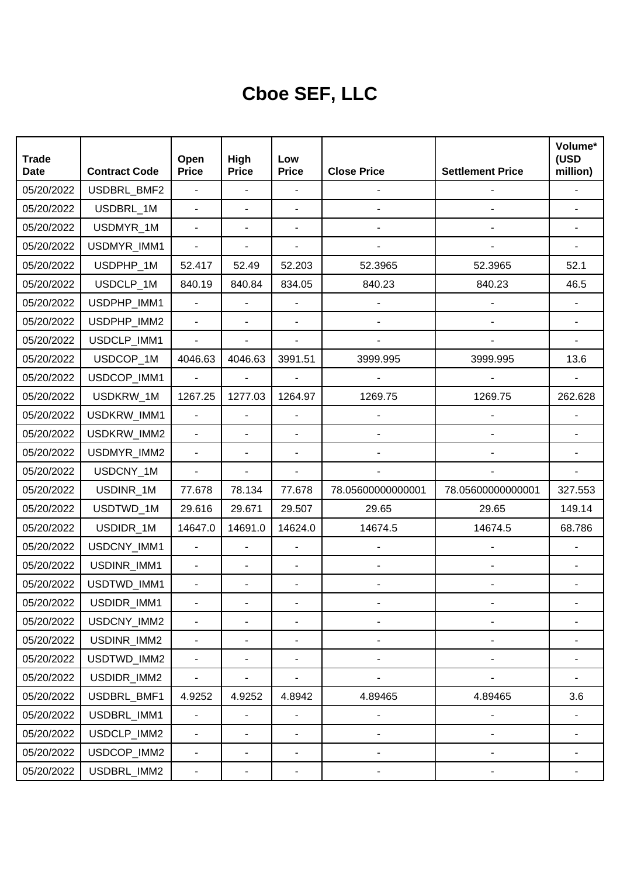## **Cboe SEF, LLC**

| <b>Trade</b><br><b>Date</b> | <b>Contract Code</b> | Open<br><b>Price</b>         | High<br><b>Price</b>     | Low<br><b>Price</b>      | <b>Close Price</b>           | <b>Settlement Price</b>      | Volume*<br>(USD<br>million) |
|-----------------------------|----------------------|------------------------------|--------------------------|--------------------------|------------------------------|------------------------------|-----------------------------|
| 05/20/2022                  | USDBRL_BMF2          | $\blacksquare$               | $\overline{\phantom{a}}$ | ÷,                       |                              |                              |                             |
| 05/20/2022                  | USDBRL_1M            | $\blacksquare$               | ä,                       | $\blacksquare$           |                              |                              |                             |
| 05/20/2022                  | USDMYR_1M            | $\overline{\phantom{a}}$     | ٠                        |                          |                              |                              |                             |
| 05/20/2022                  | USDMYR_IMM1          | $\blacksquare$               | ÷,                       | ÷,                       |                              |                              |                             |
| 05/20/2022                  | USDPHP_1M            | 52.417                       | 52.49                    | 52.203                   | 52.3965                      | 52.3965                      | 52.1                        |
| 05/20/2022                  | USDCLP 1M            | 840.19                       | 840.84                   | 834.05                   | 840.23                       | 840.23                       | 46.5                        |
| 05/20/2022                  | USDPHP_IMM1          | $\overline{a}$               | ä,                       |                          |                              |                              |                             |
| 05/20/2022                  | USDPHP_IMM2          | $\blacksquare$               | ÷,                       | $\blacksquare$           |                              |                              |                             |
| 05/20/2022                  | USDCLP_IMM1          | $\blacksquare$               | ٠                        | ÷,                       |                              |                              |                             |
| 05/20/2022                  | USDCOP_1M            | 4046.63                      | 4046.63                  | 3991.51                  | 3999.995                     | 3999.995                     | 13.6                        |
| 05/20/2022                  | USDCOP_IMM1          | $\blacksquare$               | $\blacksquare$           | $\blacksquare$           |                              |                              |                             |
| 05/20/2022                  | USDKRW_1M            | 1267.25                      | 1277.03                  | 1264.97                  | 1269.75                      | 1269.75                      | 262.628                     |
| 05/20/2022                  | USDKRW_IMM1          | ä,                           | ä,                       |                          |                              |                              |                             |
| 05/20/2022                  | USDKRW_IMM2          |                              | ٠                        | ÷,                       |                              |                              |                             |
| 05/20/2022                  | USDMYR_IMM2          | $\blacksquare$               | ٠                        | ÷,                       |                              |                              |                             |
| 05/20/2022                  | USDCNY_1M            | $\blacksquare$               | ٠                        | ÷,                       |                              |                              |                             |
| 05/20/2022                  | USDINR_1M            | 77.678                       | 78.134                   | 77.678                   | 78.05600000000001            | 78.05600000000001            | 327.553                     |
| 05/20/2022                  | USDTWD_1M            | 29.616                       | 29.671                   | 29.507                   | 29.65                        | 29.65                        | 149.14                      |
| 05/20/2022                  | USDIDR_1M            | 14647.0                      | 14691.0                  | 14624.0                  | 14674.5                      | 14674.5                      | 68.786                      |
| 05/20/2022                  | USDCNY_IMM1          | $\blacksquare$               | ä,                       | $\overline{\phantom{a}}$ |                              |                              |                             |
| 05/20/2022                  | USDINR_IMM1          |                              | $\overline{\phantom{0}}$ | $\overline{a}$           |                              |                              |                             |
| 05/20/2022                  | USDTWD_IMM1          | $\blacksquare$               | ٠                        | ÷,                       |                              |                              |                             |
| 05/20/2022                  | USDIDR_IMM1          |                              |                          |                          |                              |                              |                             |
| 05/20/2022                  | USDCNY_IMM2          |                              | -                        |                          |                              |                              |                             |
| 05/20/2022                  | USDINR_IMM2          | $\overline{\phantom{a}}$     | $\overline{\phantom{0}}$ | $\blacksquare$           | $\overline{\phantom{0}}$     |                              |                             |
| 05/20/2022                  | USDTWD_IMM2          | $\blacksquare$               | ٠                        | $\blacksquare$           | $\qquad \qquad \blacksquare$ | $\qquad \qquad \blacksquare$ |                             |
| 05/20/2022                  | USDIDR_IMM2          | $\blacksquare$               | -                        | $\blacksquare$           |                              |                              |                             |
| 05/20/2022                  | USDBRL_BMF1          | 4.9252                       | 4.9252                   | 4.8942                   | 4.89465                      | 4.89465                      | 3.6                         |
| 05/20/2022                  | USDBRL_IMM1          | $\overline{\phantom{a}}$     | $\frac{1}{2}$            | $\blacksquare$           | $\overline{\phantom{a}}$     |                              |                             |
| 05/20/2022                  | USDCLP_IMM2          | $\blacksquare$               | $\frac{1}{2}$            | $\overline{\phantom{a}}$ | $\qquad \qquad \blacksquare$ | $\qquad \qquad \blacksquare$ |                             |
| 05/20/2022                  | USDCOP_IMM2          | $\qquad \qquad \blacksquare$ | $\overline{\phantom{0}}$ | $\overline{\phantom{a}}$ | -                            | -                            |                             |
| 05/20/2022                  | USDBRL_IMM2          | ۰                            | ۰                        | ۰                        |                              |                              |                             |